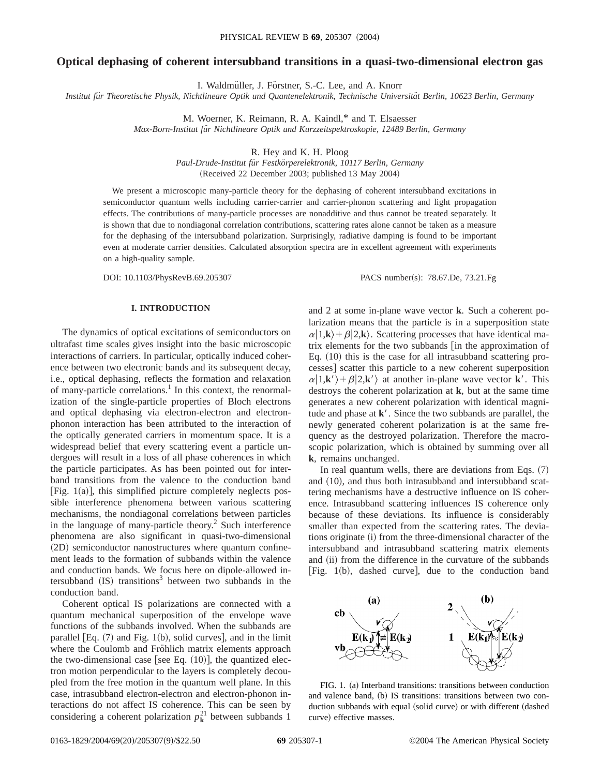# **Optical dephasing of coherent intersubband transitions in a quasi-two-dimensional electron gas**

I. Waldmüller, J. Förstner, S.-C. Lee, and A. Knorr

*Institut fu¨r Theoretische Physik, Nichtlineare Optik und Quantenelektronik, Technische Universita¨t Berlin, 10623 Berlin, Germany*

M. Woerner, K. Reimann, R. A. Kaindl,\* and T. Elsaesser

*Max-Born-Institut fu¨r Nichtlineare Optik und Kurzzeitspektroskopie, 12489 Berlin, Germany*

R. Hey and K. H. Ploog

*Paul-Drude-Institut fu¨r Festko¨rperelektronik, 10117 Berlin, Germany* (Received 22 December 2003; published 13 May 2004)

We present a microscopic many-particle theory for the dephasing of coherent intersubband excitations in semiconductor quantum wells including carrier-carrier and carrier-phonon scattering and light propagation effects. The contributions of many-particle processes are nonadditive and thus cannot be treated separately. It is shown that due to nondiagonal correlation contributions, scattering rates alone cannot be taken as a measure for the dephasing of the intersubband polarization. Surprisingly, radiative damping is found to be important even at moderate carrier densities. Calculated absorption spectra are in excellent agreement with experiments on a high-quality sample.

DOI: 10.1103/PhysRevB.69.205307 PACS number(s): 78.67.De, 73.21.Fg

## **I. INTRODUCTION**

The dynamics of optical excitations of semiconductors on ultrafast time scales gives insight into the basic microscopic interactions of carriers. In particular, optically induced coherence between two electronic bands and its subsequent decay, i.e., optical dephasing, reflects the formation and relaxation of many-particle correlations.<sup>1</sup> In this context, the renormalization of the single-particle properties of Bloch electrons and optical dephasing via electron-electron and electronphonon interaction has been attributed to the interaction of the optically generated carriers in momentum space. It is a widespread belief that every scattering event a particle undergoes will result in a loss of all phase coherences in which the particle participates. As has been pointed out for interband transitions from the valence to the conduction band [Fig.  $1(a)$ ], this simplified picture completely neglects possible interference phenomena between various scattering mechanisms, the nondiagonal correlations between particles in the language of many-particle theory.<sup>2</sup> Such interference phenomena are also significant in quasi-two-dimensional (2D) semiconductor nanostructures where quantum confinement leads to the formation of subbands within the valence and conduction bands. We focus here on dipole-allowed intersubband  $(IS)$  transitions<sup>3</sup> between two subbands in the conduction band.

Coherent optical IS polarizations are connected with a quantum mechanical superposition of the envelope wave functions of the subbands involved. When the subbands are parallel  $[Eq. (7)$  and Fig. 1(b), solid curves, and in the limit where the Coulomb and Fröhlich matrix elements approach the two-dimensional case [see Eq.  $(10)$ ], the quantized electron motion perpendicular to the layers is completely decoupled from the free motion in the quantum well plane. In this case, intrasubband electron-electron and electron-phonon interactions do not affect IS coherence. This can be seen by considering a coherent polarization  $p_k^{21}$  between subbands 1

and 2 at some in-plane wave vector **k**. Such a coherent polarization means that the particle is in a superposition state  $\alpha|1,\mathbf{k}\rangle+\beta|2,\mathbf{k}\rangle$ . Scattering processes that have identical matrix elements for the two subbands  $\left[$  in the approximation of Eq.  $(10)$  this is the case for all intrasubband scattering processes] scatter this particle to a new coherent superposition  $\alpha|1,\mathbf{k}\rangle + \beta|2,\mathbf{k}\rangle$  at another in-plane wave vector **k**<sup>'</sup>. This destroys the coherent polarization at **k**, but at the same time generates a new coherent polarization with identical magnitude and phase at  $\mathbf{k}'$ . Since the two subbands are parallel, the newly generated coherent polarization is at the same frequency as the destroyed polarization. Therefore the macroscopic polarization, which is obtained by summing over all **k**, remains unchanged.

In real quantum wells, there are deviations from Eqs.  $(7)$ and  $(10)$ , and thus both intrasubband and intersubband scattering mechanisms have a destructive influence on IS coherence. Intrasubband scattering influences IS coherence only because of these deviations. Its influence is considerably smaller than expected from the scattering rates. The deviations originate (i) from the three-dimensional character of the intersubband and intrasubband scattering matrix elements and (ii) from the difference in the curvature of the subbands [Fig.  $1(b)$ , dashed curve], due to the conduction band



FIG. 1. (a) Interband transitions: transitions between conduction and valence band, (b) IS transitions: transitions between two conduction subbands with equal (solid curve) or with different (dashed curve) effective masses.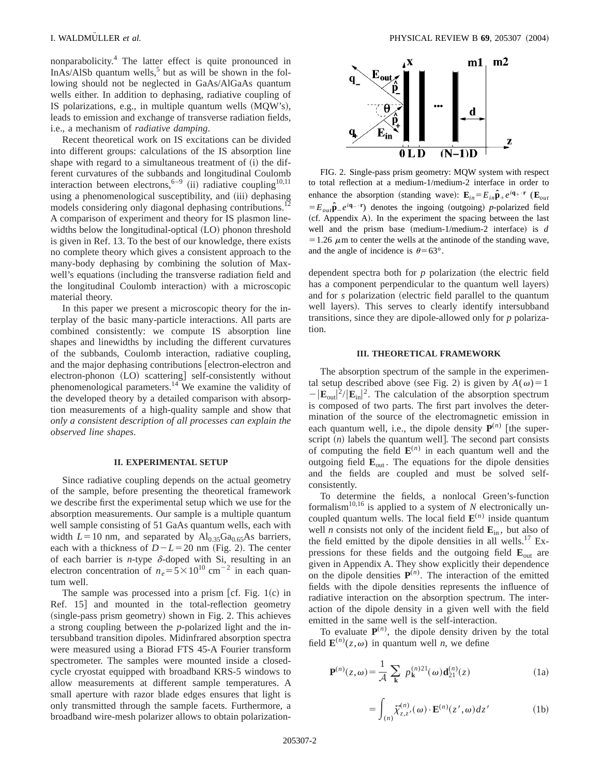nonparabolicity.4 The latter effect is quite pronounced in InAs/AlSb quantum wells,<sup>5</sup> but as will be shown in the following should not be neglected in GaAs/AlGaAs quantum wells either. In addition to dephasing, radiative coupling of IS polarizations, e.g., in multiple quantum wells  $(MQW's)$ , leads to emission and exchange of transverse radiation fields, i.e., a mechanism of *radiative damping*.

Recent theoretical work on IS excitations can be divided into different groups: calculations of the IS absorption line shape with regard to a simultaneous treatment of  $(i)$  the different curvatures of the subbands and longitudinal Coulomb interaction between electrons,  $6-9$  (ii) radiative coupling<sup>10,11</sup> using a phenomenological susceptibility, and (iii) dephasing models considering only diagonal dephasing contributions.<sup>1</sup> A comparison of experiment and theory for IS plasmon linewidths below the longitudinal-optical (LO) phonon threshold is given in Ref. 13. To the best of our knowledge, there exists no complete theory which gives a consistent approach to the many-body dephasing by combining the solution of Maxwell's equations (including the transverse radiation field and the longitudinal Coulomb interaction) with a microscopic material theory.

In this paper we present a microscopic theory for the interplay of the basic many-particle interactions. All parts are combined consistently: we compute IS absorption line shapes and linewidths by including the different curvatures of the subbands, Coulomb interaction, radiative coupling, and the major dephasing contributions [electron-electron and electron-phonon (LO) scattering] self-consistently without phenomenological parameters.14 We examine the validity of the developed theory by a detailed comparison with absorption measurements of a high-quality sample and show that *only a consistent description of all processes can explain the observed line shapes*.

#### **II. EXPERIMENTAL SETUP**

Since radiative coupling depends on the actual geometry of the sample, before presenting the theoretical framework we describe first the experimental setup which we use for the absorption measurements. Our sample is a multiple quantum well sample consisting of 51 GaAs quantum wells, each with width  $L=10$  nm, and separated by  $Al_{0.35}Ga_{0.65}As$  barriers, each with a thickness of  $D-L=20$  nm (Fig. 2). The center of each barrier is *n*-type  $\delta$ -doped with Si, resulting in an electron concentration of  $n_e = 5 \times 10^{10}$  cm<sup>-2</sup> in each quantum well.

The sample was processed into a prism [cf. Fig.  $1(c)$  in Ref. 15 and mounted in the total-reflection geometry  $(single-pass prism geometry)$  shown in Fig. 2. This achieves a strong coupling between the *p*-polarized light and the intersubband transition dipoles. Midinfrared absorption spectra were measured using a Biorad FTS 45-A Fourier transform spectrometer. The samples were mounted inside a closedcycle cryostat equipped with broadband KRS-5 windows to allow measurements at different sample temperatures. A small aperture with razor blade edges ensures that light is only transmitted through the sample facets. Furthermore, a broadband wire-mesh polarizer allows to obtain polarization-



FIG. 2. Single-pass prism geometry: MQW system with respect to total reflection at a medium-1/medium-2 interface in order to enhance the absorption (standing wave):  $\mathbf{E}_{in} = E_{in} \hat{\mathbf{p}}_+ e^{i\mathbf{q}_+ \cdot \mathbf{r}}$  ( $\mathbf{E}_{out}$  $E_{out}$  $\hat{\mathbf{p}}_e e^{i\mathbf{q}_e \cdot \mathbf{r}}$  denotes the ingoing (outgoing) *p*-polarized field (cf. Appendix A). In the experiment the spacing between the last well and the prism base (medium-1/medium-2 interface) is  $d$  $=1.26 \mu$ m to center the wells at the antinode of the standing wave, and the angle of incidence is  $\theta$ =63°.

dependent spectra both for  $p$  polarization (the electric field has a component perpendicular to the quantum well layers) and for *s* polarization (electric field parallel to the quantum well layers). This serves to clearly identify intersubband transitions, since they are dipole-allowed only for *p* polarization.

#### **III. THEORETICAL FRAMEWORK**

The absorption spectrum of the sample in the experimental setup described above (see Fig. 2) is given by  $A(\omega) = 1$  $-|\mathbf{E}_{\text{out}}|^2/|\mathbf{E}_{\text{in}}|^2$ . The calculation of the absorption spectrum is composed of two parts. The first part involves the determination of the source of the electromagnetic emission in each quantum well, i.e., the dipole density  $P^{(n)}$  [the superscript  $(n)$  labels the quantum well. The second part consists of computing the field  $\mathbf{E}^{(n)}$  in each quantum well and the outgoing field  $\mathbf{E}_{\text{out}}$ . The equations for the dipole densities and the fields are coupled and must be solved selfconsistently.

To determine the fields, a nonlocal Green's-function formalism<sup>10,16</sup> is applied to a system of  $N$  electronically uncoupled quantum wells. The local field  $\mathbf{E}^{(n)}$  inside quantum well *n* consists not only of the incident field  $\mathbf{E}_{in}$ , but also of the field emitted by the dipole densities in all wells.<sup>17</sup> Expressions for these fields and the outgoing field  $\mathbf{E}_{\text{out}}$  are given in Appendix A. They show explicitly their dependence on the dipole densities  $P^{(n)}$ . The interaction of the emitted fields with the dipole densities represents the influence of radiative interaction on the absorption spectrum. The interaction of the dipole density in a given well with the field emitted in the same well is the self-interaction.

To evaluate  $P^{(n)}$ , the dipole density driven by the total field  $\mathbf{E}^{(n)}(z,\omega)$  in quantum well *n*, we define

$$
\mathbf{P}^{(n)}(z,\omega) = \frac{1}{\mathcal{A}} \sum_{\mathbf{k}} p_{\mathbf{k}}^{(n)}(z) \mathbf{d}_{21}^{(n)}(z) \tag{1a}
$$

$$
= \int_{(n)} \widetilde{\chi}_{z,z'}^{(n)}(\omega) \cdot \mathbf{E}^{(n)}(z',\omega) dz' \tag{1b}
$$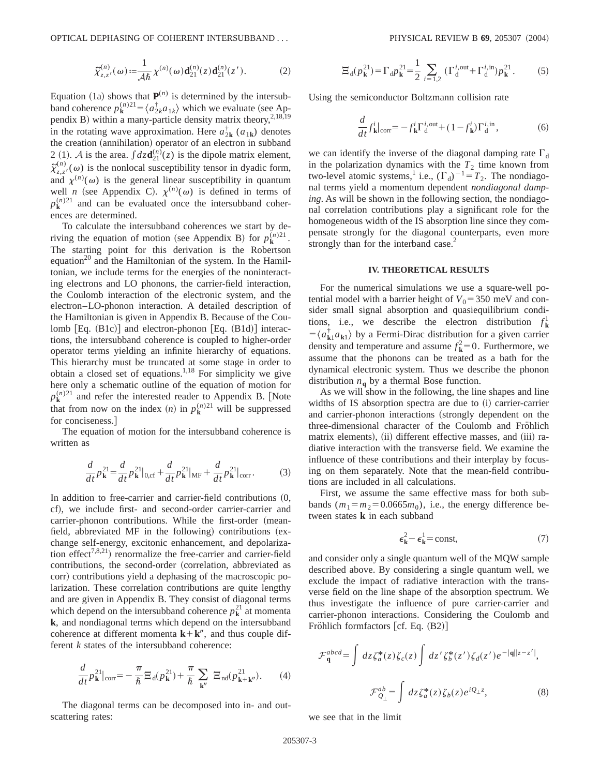$$
\tilde{\chi}_{z,z'}^{(n)}(\omega) := \frac{1}{\mathcal{A}\hbar} \chi^{(n)}(\omega) \mathbf{d}_{21}^{(n)}(z) \mathbf{d}_{21}^{(n)}(z'). \tag{2}
$$

Equation (1a) shows that  $P^{(n)}$  is determined by the intersubband coherence  $p_{\mathbf{k}}^{(n)} = \langle a_{2k}^{\dagger}a_{1k} \rangle$  which we evaluate (see Appendix B) within a many-particle density matrix theory,  $2,18,19$ in the rotating wave approximation. Here  $a_{2k}^{\dagger}$  ( $a_{1k}$ ) denotes the creation (annihilation) operator of an electron in subband 2 (1). A is the area.  $\int dz \mathbf{d}_{21}^{(n)}(z)$  is the dipole matrix element,  $\tilde{\chi}_{z,z'}^{(n)}(\omega)$  is the nonlocal susceptibility tensor in dyadic form, and  $\chi^{(n)}(\omega)$  is the general linear susceptibility in quantum well *n* (see Appendix C).  $\chi^{(n)}(\omega)$  is defined in terms of  $p_k^{(n)21}$  and can be evaluated once the intersubband coherences are determined.

To calculate the intersubband coherences we start by deriving the equation of motion (see Appendix B) for  $p_k^{(n)21}$ . The starting point for this derivation is the Robertson equation<sup>20</sup> and the Hamiltonian of the system. In the Hamiltonian, we include terms for the energies of the noninteracting electrons and LO phonons, the carrier-field interaction, the Coulomb interaction of the electronic system, and the electron–LO-phonon interaction. A detailed description of the Hamiltonian is given in Appendix B. Because of the Coulomb  $[Eq. (B1c)]$  and electron-phonon  $[Eq. (B1d)]$  interactions, the intersubband coherence is coupled to higher-order operator terms yielding an infinite hierarchy of equations. This hierarchy must be truncated at some stage in order to obtain a closed set of equations.<sup>1,18</sup> For simplicity we give here only a schematic outline of the equation of motion for  $p_k^{(n)21}$  and refer the interested reader to Appendix B. [Note that from now on the index  $(n)$  in  $p_k^{(n)21}$  will be suppressed for conciseness.

The equation of motion for the intersubband coherence is written as

$$
\frac{d}{dt}p_{\mathbf{k}}^{21} = \frac{d}{dt}p_{\mathbf{k}}^{21}|_{0,\text{cf}} + \frac{d}{dt}p_{\mathbf{k}}^{21}|_{\text{MF}} + \frac{d}{dt}p_{\mathbf{k}}^{21}|_{\text{corr}}.\tag{3}
$$

In addition to free-carrier and carrier-field contributions  $(0, 0)$ cf), we include first- and second-order carrier-carrier and carrier-phonon contributions. While the first-order (meanfield, abbreviated MF in the following) contributions  $(ex$ change self-energy, excitonic enhancement, and depolarization effect<sup>7,8,21</sup>) renormalize the free-carrier and carrier-field contributions, the second-order (correlation, abbreviated as corr) contributions yield a dephasing of the macroscopic polarization. These correlation contributions are quite lengthy and are given in Appendix B. They consist of diagonal terms which depend on the intersubband coherence  $p_k^2$  at momenta **k**, and nondiagonal terms which depend on the intersubband coherence at different momenta  $\mathbf{k}+\mathbf{k}^{\prime\prime}$ , and thus couple different *k* states of the intersubband coherence:

$$
\frac{d}{dt}p_{\mathbf{k}}^{21}|_{\text{corr}} = -\frac{\pi}{\hbar} \Xi_{\text{d}}(p_{\mathbf{k}}^{21}) + \frac{\pi}{\hbar} \sum_{\mathbf{k}''} \Xi_{\text{nd}}(p_{\mathbf{k}+\mathbf{k}''}^{21}). \tag{4}
$$

The diagonal terms can be decomposed into in- and outscattering rates:

$$
\Xi_{\rm d}(p_{\rm k}^{21}) = \Gamma_{\rm d} p_{\rm k}^{21} = \frac{1}{2} \sum_{i=1,2} \left( \Gamma_{\rm d}^{i, \text{out}} + \Gamma_{\rm d}^{i, \text{in}} \right) p_{\rm k}^{21}. \tag{5}
$$

Using the semiconductor Boltzmann collision rate

$$
\frac{d}{dt}f_{\mathbf{k}}^{i}|_{\text{corr}} = -f_{\mathbf{k}}^{i}\Gamma_{\mathbf{d}}^{i,\text{out}} + (1 - f_{\mathbf{k}}^{i})\Gamma_{\mathbf{d}}^{i,\text{in}},\tag{6}
$$

we can identify the inverse of the diagonal damping rate  $\Gamma_d$ in the polarization dynamics with the  $T_2$  time known from two-level atomic systems,<sup>1</sup> i.e.,  $(\Gamma_d)^{-1} = T_2$ . The nondiagonal terms yield a momentum dependent *nondiagonal damping*. As will be shown in the following section, the nondiagonal correlation contributions play a significant role for the homogeneous width of the IS absorption line since they compensate strongly for the diagonal counterparts, even more strongly than for the interband case.<sup>2</sup>

# **IV. THEORETICAL RESULTS**

For the numerical simulations we use a square-well potential model with a barrier height of  $V_0$ =350 meV and consider small signal absorption and quasiequilibrium conditions, i.e., we describe the electron distribution  $f_{\mathbf{k}}^1$  $= \langle a_{\mathbf{k}1}^{\dagger} a_{\mathbf{k}1} \rangle$  by a Fermi-Dirac distribution for a given carrier density and temperature and assume  $f_{\mathbf{k}}^2 = 0$ . Furthermore, we assume that the phonons can be treated as a bath for the dynamical electronic system. Thus we describe the phonon distribution  $n_{\bf{q}}$  by a thermal Bose function.

As we will show in the following, the line shapes and line widths of IS absorption spectra are due to (i) carrier-carrier and carrier-phonon interactions (strongly dependent on the three-dimensional character of the Coulomb and Fröhlich matrix elements), (ii) different effective masses, and (iii) radiative interaction with the transverse field. We examine the influence of these contributions and their interplay by focusing on them separately. Note that the mean-field contributions are included in all calculations.

First, we assume the same effective mass for both subbands  $(m_1=m_2=0.0665m_0)$ , i.e., the energy difference between states **k** in each subband

$$
\epsilon_{\mathbf{k}}^2 - \epsilon_{\mathbf{k}}^1 = \text{const},\tag{7}
$$

and consider only a single quantum well of the MQW sample described above. By considering a single quantum well, we exclude the impact of radiative interaction with the transverse field on the line shape of the absorption spectrum. We thus investigate the influence of pure carrier-carrier and carrier-phonon interactions. Considering the Coulomb and Fröhlich formfactors  $[cf. Eq. (B2)]$ 

$$
\mathcal{F}_{\mathbf{q}}^{abcd} = \int dz \zeta_a^*(z) \zeta_c(z) \int dz' \zeta_b^*(z') \zeta_d(z') e^{-|\mathbf{q}||z-z'|},
$$
  

$$
\mathcal{F}_{\mathcal{Q}_\perp}^{ab} = \int dz \zeta_a^*(z) \zeta_b(z) e^{i\mathcal{Q}_\perp z},
$$
 (8)

we see that in the limit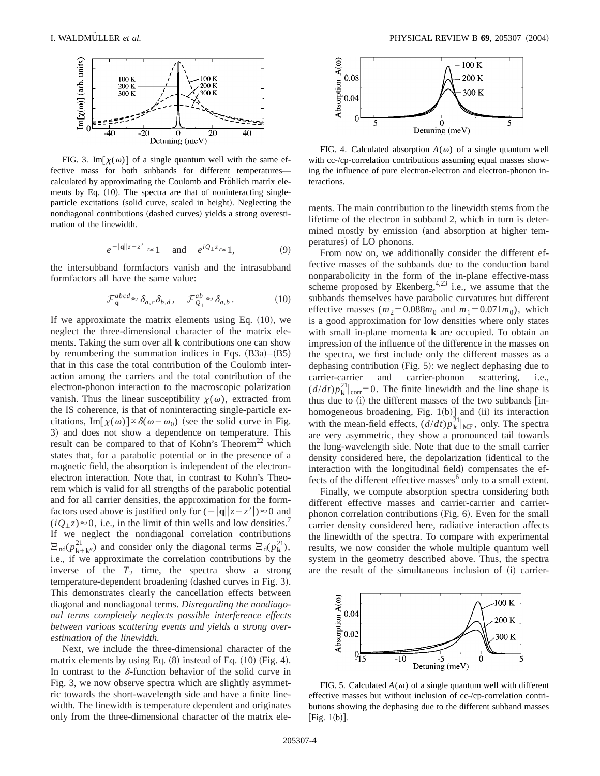

FIG. 3. Im[ $\chi(\omega)$ ] of a single quantum well with the same effective mass for both subbands for different temperatures calculated by approximating the Coulomb and Fröhlich matrix elements by Eq. (10). The spectra are that of noninteracting singleparticle excitations (solid curve, scaled in height). Neglecting the nondiagonal contributions (dashed curves) yields a strong overestimation of the linewidth.

$$
e^{-|q||z-z'||} \approx 1 \quad \text{and} \quad e^{iQ_{\perp}z} \approx 1,\tag{9}
$$

the intersubband formfactors vanish and the intrasubband formfactors all have the same value:

$$
\mathcal{F}_{\mathbf{q}}^{abcd} \approx \delta_{a,c} \delta_{b,d}, \quad \mathcal{F}_{Q_\perp}^{ab} \approx \delta_{a,b}.
$$
 (10)

If we approximate the matrix elements using Eq.  $(10)$ , we neglect the three-dimensional character of the matrix elements. Taking the sum over all **k** contributions one can show by renumbering the summation indices in Eqs.  $(B3a)$ – $(B5)$ that in this case the total contribution of the Coulomb interaction among the carriers and the total contribution of the electron-phonon interaction to the macroscopic polarization vanish. Thus the linear susceptibility  $\chi(\omega)$ , extracted from the IS coherence, is that of noninteracting single-particle excitations, Im[ $\chi(\omega)$ ] $\propto \delta(\omega - \omega_0)$  (see the solid curve in Fig. 3) and does not show a dependence on temperature. This result can be compared to that of Kohn's Theorem<sup>22</sup> which states that, for a parabolic potential or in the presence of a magnetic field, the absorption is independent of the electronelectron interaction. Note that, in contrast to Kohn's Theorem which is valid for all strengths of the parabolic potential and for all carrier densities, the approximation for the formfactors used above is justified only for  $\left(-|\mathbf{q}||z-z'|\right) \approx 0$  and  $(iQ_{\perp}z) \approx 0$ , i.e., in the limit of thin wells and low densities.<sup>7</sup> If we neglect the nondiagonal correlation contributions  $\Xi_{\text{nd}}(p_{\mathbf{k}+\mathbf{k}''}^{21})$  and consider only the diagonal terms  $\Xi_{\text{d}}(p_{\mathbf{k}}^{21})$ , i.e., if we approximate the correlation contributions by the inverse of the  $T_2$  time, the spectra show a strong temperature-dependent broadening (dashed curves in Fig. 3). This demonstrates clearly the cancellation effects between diagonal and nondiagonal terms. *Disregarding the nondiagonal terms completely neglects possible interference effects between various scattering events and yields a strong overestimation of the linewidth.*

Next, we include the three-dimensional character of the matrix elements by using Eq.  $(8)$  instead of Eq.  $(10)$  (Fig. 4). In contrast to the  $\delta$ -function behavior of the solid curve in Fig. 3, we now observe spectra which are slightly asymmetric towards the short-wavelength side and have a finite linewidth. The linewidth is temperature dependent and originates only from the three-dimensional character of the matrix ele-



FIG. 4. Calculated absorption  $A(\omega)$  of a single quantum well with cc-/cp-correlation contributions assuming equal masses showing the influence of pure electron-electron and electron-phonon interactions.

ments. The main contribution to the linewidth stems from the lifetime of the electron in subband 2, which in turn is determined mostly by emission (and absorption at higher temperatures) of LO phonons.

From now on, we additionally consider the different effective masses of the subbands due to the conduction band nonparabolicity in the form of the in-plane effective-mass scheme proposed by Ekenberg,  $4.23$  i.e., we assume that the subbands themselves have parabolic curvatures but different effective masses ( $m_2$ =0.088 $m_0$  and  $m_1$ =0.071 $m_0$ ), which is a good approximation for low densities where only states with small in-plane momenta **k** are occupied. To obtain an impression of the influence of the difference in the masses on the spectra, we first include only the different masses as a dephasing contribution (Fig.  $5$ ): we neglect dephasing due to carrier-carrier and carrier-phonon scattering, i.e.,  $\left(\frac{d}{dt}p_{\mathbf{k}}^{21}\right|_{\text{corr}}=0$ . The finite linewidth and the line shape is thus due to  $(i)$  the different masses of the two subbands  $[$ inhomogeneous broadening, Fig.  $1(b)$ ] and (ii) its interaction with the mean-field effects,  $\left(d/dt\right)p_k^{21}|_{MF}$ , only. The spectra are very asymmetric, they show a pronounced tail towards the long-wavelength side. Note that due to the small carrier density considered here, the depolarization (identical to the interaction with the longitudinal field) compensates the effects of the different effective masses $6$  only to a small extent.

Finally, we compute absorption spectra considering both different effective masses and carrier-carrier and carrierphonon correlation contributions  $(Fig. 6)$ . Even for the small carrier density considered here, radiative interaction affects the linewidth of the spectra. To compare with experimental results, we now consider the whole multiple quantum well system in the geometry described above. Thus, the spectra are the result of the simultaneous inclusion of (i) carrier-



FIG. 5. Calculated  $A(\omega)$  of a single quantum well with different effective masses but without inclusion of cc-/cp-correlation contributions showing the dephasing due to the different subband masses [Fig.  $1(b)$ ].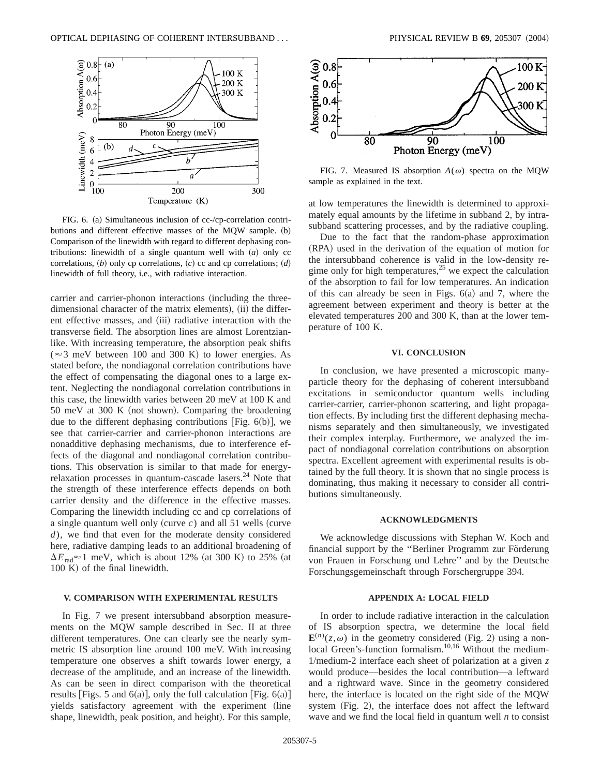

FIG. 6. (a) Simultaneous inclusion of cc-/cp-correlation contributions and different effective masses of the MQW sample. (b) Comparison of the linewidth with regard to different dephasing contributions: linewidth of a single quantum well with  $(a)$  only cc correlations,  $(b)$  only cp correlations,  $(c)$  cc and cp correlations;  $(d)$ linewidth of full theory, i.e., with radiative interaction.

carrier and carrier-phonon interactions (including the threedimensional character of the matrix elements), (ii) the different effective masses, and (iii) radiative interaction with the transverse field. The absorption lines are almost Lorentzianlike. With increasing temperature, the absorption peak shifts ( $\approx$ 3 meV between 100 and 300 K) to lower energies. As stated before, the nondiagonal correlation contributions have the effect of compensating the diagonal ones to a large extent. Neglecting the nondiagonal correlation contributions in this case, the linewidth varies between 20 meV at 100 K and  $50$  meV at  $300$  K (not shown). Comparing the broadening due to the different dephasing contributions [Fig.  $6(b)$ ], we see that carrier-carrier and carrier-phonon interactions are nonadditive dephasing mechanisms, due to interference effects of the diagonal and nondiagonal correlation contributions. This observation is similar to that made for energyrelaxation processes in quantum-cascade lasers. $24$  Note that the strength of these interference effects depends on both carrier density and the difference in the effective masses. Comparing the linewidth including cc and cp correlations of a single quantum well only (curve  $c$ ) and all 51 wells (curve *d*), we find that even for the moderate density considered here, radiative damping leads to an additional broadening of  $\Delta E_{\text{rad}} \approx 1$  meV, which is about 12% (at 300 K) to 25% (at  $100 K$ ) of the final linewidth.

# **V. COMPARISON WITH EXPERIMENTAL RESULTS**

In Fig. 7 we present intersubband absorption measurements on the MQW sample described in Sec. II at three different temperatures. One can clearly see the nearly symmetric IS absorption line around 100 meV. With increasing temperature one observes a shift towards lower energy, a decrease of the amplitude, and an increase of the linewidth. As can be seen in direct comparison with the theoretical results [Figs. 5 and 6(a)], only the full calculation [Fig. 6(a)] yields satisfactory agreement with the experiment (line shape, linewidth, peak position, and height). For this sample,



FIG. 7. Measured IS absorption  $A(\omega)$  spectra on the MQW sample as explained in the text.

at low temperatures the linewidth is determined to approximately equal amounts by the lifetime in subband 2, by intrasubband scattering processes, and by the radiative coupling.

Due to the fact that the random-phase approximation (RPA) used in the derivation of the equation of motion for the intersubband coherence is valid in the low-density regime only for high temperatures,<sup>25</sup> we expect the calculation of the absorption to fail for low temperatures. An indication of this can already be seen in Figs.  $6(a)$  and 7, where the agreement between experiment and theory is better at the elevated temperatures 200 and 300 K, than at the lower temperature of 100 K.

# **VI. CONCLUSION**

In conclusion, we have presented a microscopic manyparticle theory for the dephasing of coherent intersubband excitations in semiconductor quantum wells including carrier-carrier, carrier-phonon scattering, and light propagation effects. By including first the different dephasing mechanisms separately and then simultaneously, we investigated their complex interplay. Furthermore, we analyzed the impact of nondiagonal correlation contributions on absorption spectra. Excellent agreement with experimental results is obtained by the full theory. It is shown that no single process is dominating, thus making it necessary to consider all contributions simultaneously.

#### **ACKNOWLEDGMENTS**

We acknowledge discussions with Stephan W. Koch and financial support by the "Berliner Programm zur Förderung von Frauen in Forschung und Lehre'' and by the Deutsche Forschungsgemeinschaft through Forschergruppe 394.

#### **APPENDIX A: LOCAL FIELD**

In order to include radiative interaction in the calculation of IS absorption spectra, we determine the local field  $\mathbf{E}^{(n)}(z,\omega)$  in the geometry considered (Fig. 2) using a nonlocal Green's-function formalism.10,16 Without the medium-1/medium-2 interface each sheet of polarization at a given *z* would produce—besides the local contribution—a leftward and a rightward wave. Since in the geometry considered here, the interface is located on the right side of the MQW system  $(Fig. 2)$ , the interface does not affect the leftward wave and we find the local field in quantum well *n* to consist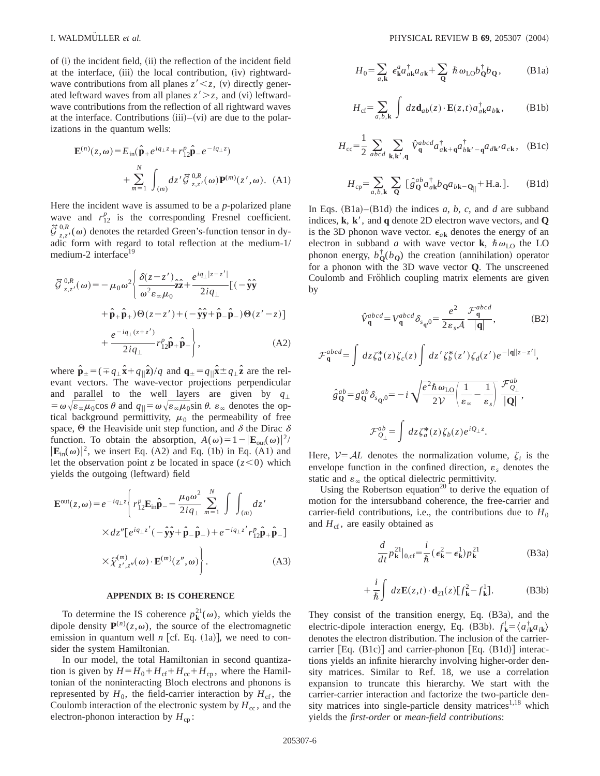of  $(i)$  the incident field,  $(ii)$  the reflection of the incident field at the interface,  $(iii)$  the local contribution,  $(iv)$  rightwardwave contributions from all planes  $z' < z$ , (v) directly generated leftward waves from all planes  $z' > z$ , and (vi) leftwardwave contributions from the reflection of all rightward waves at the interface. Contributions  $(iii)$ – $(vi)$  are due to the polarizations in the quantum wells:

$$
\mathbf{E}^{(n)}(z,\omega) = E_{\text{in}}(\hat{\mathbf{p}}_{+}e^{iq_{\perp}z} + r_{12}^{p}\hat{\mathbf{p}}_{-}e^{-iq_{\perp}z}) + \sum_{m=1}^{N} \int_{(m)} dz' \vec{\mathcal{G}}_{z,z'}^{0,R}(\omega) \mathbf{P}^{(m)}(z',\omega). \quad (A1)
$$

Here the incident wave is assumed to be a *p*-polarized plane wave and  $r_{12}^p$  is the corresponding Fresnel coefficient.  $\vec{G}^{0,R}_{z,z'}(\omega)$  denotes the retarded Green's-function tensor in dyadic form with regard to total reflection at the medium-1/ medium-2 interface<sup>19</sup>

$$
\vec{G}^{0,R}_{z,z'}(\omega) = -\mu_0 \omega^2 \left\{ \frac{\delta(z-z')}{\omega^2 \varepsilon_{\infty} \mu_0} \hat{\mathbf{z}} + \frac{e^{iq_{\perp}|z-z'|}}{2iq_{\perp}} \left[ (-\hat{\mathbf{y}} \hat{\mathbf{y}} + \hat{\mathbf{p}}_{+} \hat{\mathbf{p}}_{+}) \Theta(z-z') + (-\hat{\mathbf{y}} \hat{\mathbf{y}} + \hat{\mathbf{p}}_{-} \hat{\mathbf{p}}_{-}) \Theta(z'-z) \right] + \frac{e^{-iq_{\perp}(z+z')}}{2iq_{\perp}} r_{12}^{\rho} \hat{\mathbf{p}}_{+} \hat{\mathbf{p}}_{-} \right\},
$$
\n(A2)

where  $\hat{\mathbf{p}}_{\pm} = (\mp q_{\perp} \hat{\mathbf{x}} + q_{\parallel} \hat{\mathbf{z}})/q$  and  $\mathbf{q}_{\pm} = q_{\parallel} \hat{\mathbf{x}} \pm q_{\perp} \hat{\mathbf{z}}$  are the relevant vectors. The wave-vector projections perpendicular and parallel to the well layers are given by  $q_{\perp}$  $= \omega \sqrt{\epsilon_{\infty} \mu_0 \cos \theta}$  and  $q_{\parallel} = \omega \sqrt{\epsilon_{\infty} \mu_0 \sin \theta}$ .  $\epsilon_{\infty}$  denotes the optical background permittivity,  $\mu_0$  the permeability of free space,  $\Theta$  the Heaviside unit step function, and  $\delta$  the Dirac  $\delta$ function. To obtain the absorption,  $A(\omega) = 1 - |\mathbf{E}_{out}(\omega)|^2$  $|\mathbf{E}_{in}(\omega)|^2$ , we insert Eq. (A2) and Eq. (1b) in Eq. (A1) and let the observation point *z* be located in space  $(z<0)$  which yields the outgoing (leftward) field

$$
\mathbf{E}^{\text{out}}(z,\omega) = e^{-iq_{\perp}z} \left\{ r_{12}^{p} \mathbf{E}_{\text{in}} \hat{\mathbf{p}}_{-} - \frac{\mu_{0} \omega^{2}}{2iq_{\perp}} \sum_{m=1}^{N} \int \int_{(m)} dz' \times dz'' [e^{iq_{\perp}z'} (-\hat{\mathbf{y}}\hat{\mathbf{y}} + \hat{\mathbf{p}}_{-}\hat{\mathbf{p}}_{-}) + e^{-iq_{\perp}z'} r_{12}^{p} \hat{\mathbf{p}}_{+} \hat{\mathbf{p}}_{-}] \times \tilde{\chi}_{z',z''}^{(m)}(\omega) \cdot \mathbf{E}^{(m)}(z'',\omega) \right\}.
$$
\n(A3)

#### **APPENDIX B: IS COHERENCE**

To determine the IS coherence  $p_k^{2l}(\omega)$ , which yields the dipole density  $P^{(n)}(z,\omega)$ , the source of the electromagnetic emission in quantum well *n* [cf. Eq.  $(1a)$ ], we need to consider the system Hamiltonian.

In our model, the total Hamiltonian in second quantization is given by  $H = H_0 + H_{cf} + H_{cc} + H_{cp}$ , where the Hamiltonian of the noninteracting Bloch electrons and phonons is represented by  $H_0$ , the field-carrier interaction by  $H_{cf}$ , the Coulomb interaction of the electronic system by  $H_{cc}$ , and the electron-phonon interaction by  $H_{cp}$ :

$$
H_0 = \sum_{a,\mathbf{k}} \epsilon^a_{\mathbf{k}} a_{a\mathbf{k}}^\dagger a_{a\mathbf{k}} + \sum_{\mathbf{Q}} \hbar \omega_{\mathbf{L}0} b_{\mathbf{Q}}^\dagger b_{\mathbf{Q}}, \tag{B1a}
$$

$$
H_{\rm cf} = \sum_{a,b,\mathbf{k}} \int dz \mathbf{d}_{ab}(z) \cdot \mathbf{E}(z,t) a_{a\mathbf{k}}^{\dagger} a_{b\mathbf{k}},
$$
 (B1b)

$$
H_{\rm cc} = \frac{1}{2} \sum_{abcd} \sum_{\mathbf{k}, \mathbf{k}', \mathbf{q}} \hat{V}_{\mathbf{q}}^{abcd} a_{a\mathbf{k}+\mathbf{q}}^{\dagger} a_{b\mathbf{k}'-\mathbf{q}}^{\dagger} a_{d\mathbf{k}'} a_{c\mathbf{k}}, \quad \text{(B1c)}
$$

$$
H_{\rm cp} = \sum_{a,b,\mathbf{k}} \sum_{\mathbf{Q}} [\hat{g}_{\mathbf{Q}}^{ab} a_{a\mathbf{k}}^{\dagger} b_{\mathbf{Q}} a_{b\mathbf{k}-\mathbf{Q}_{||}} + \text{H.a.}].
$$
 (B1d)

In Eqs.  $(B1a)$ – $(B1d)$  the indices *a*, *b*, *c*, and *d* are subband indices,  $\bf{k}$ ,  $\bf{k}'$ , and  $\bf{q}$  denote 2D electron wave vectors, and  $\bf{Q}$ is the 3D phonon wave vector.  $\epsilon_{a\mathbf{k}}$  denotes the energy of an electron in subband *a* with wave vector **k**,  $\hbar \omega_{\text{LO}}$  the LO phonon energy,  $b_{\mathbf{Q}}^{\dagger}(b_{\mathbf{Q}})$  the creation (annihilation) operator for a phonon with the 3D wave vector **Q**. The unscreened Coulomb and Fröhlich coupling matrix elements are given by

$$
\hat{V}_{\mathbf{q}}^{abcd} = V_{\mathbf{q}}^{abcd} \delta_{s_{\mathbf{q}},0} = \frac{e^2}{2\varepsilon_s \mathcal{A}} \frac{\mathcal{F}_{\mathbf{q}}^{abcd}}{|\mathbf{q}|},\tag{B2}
$$

$$
\mathcal{F}_{\mathbf{q}}^{abcd} = \int dz \zeta_a^*(z) \zeta_c(z) \int dz' \zeta_b^*(z') \zeta_d(z') e^{-|\mathbf{q}||z-z'|},
$$
  

$$
\hat{g}_{\mathbf{Q}}^{ab} = g_{\mathbf{Q}}^{ab} \delta_{s_{\mathbf{Q}},0} = -i \sqrt{\frac{e^2 \hbar \omega_{\text{LO}}}{2 \mathcal{V}}} \left( \frac{1}{\varepsilon_{\infty}} - \frac{1}{\varepsilon_s} \right) \frac{\mathcal{F}_{Q_\perp}^{ab}}{|\mathbf{Q}|},
$$
  

$$
\mathcal{F}_{Q_\perp}^{ab} = \int dz \zeta_a^*(z) \zeta_b(z) e^{iQ_\perp z}.
$$

Here,  $V = AL$  denotes the normalization volume,  $\zeta_i$  is the envelope function in the confined direction,  $\varepsilon_s$  denotes the static and  $\varepsilon_{\infty}$  the optical dielectric permittivity.

Using the Robertson equation<sup>20</sup> to derive the equation of motion for the intersubband coherence, the free-carrier and carrier-field contributions, i.e., the contributions due to  $H_0$ and  $H_{cf}$ , are easily obtained as

$$
\frac{d}{dt}p_{\mathbf{k}}^{21}|_{0,\text{cf}} = \frac{i}{\hbar}(\epsilon_{\mathbf{k}}^2 - \epsilon_{\mathbf{k}}^1)p_{\mathbf{k}}^{21}
$$
 (B3a)

$$
+\frac{i}{\hbar}\int dz\mathbf{E}(z,t)\cdot\mathbf{d}_{21}(z)[f_{\mathbf{k}}^2-f_{\mathbf{k}}^1].
$$
 (B3b)

They consist of the transition energy, Eq.  $(B3a)$ , and the electric-dipole interaction energy, Eq. (B3b).  $f_{\mathbf{k}}^i = \langle a_{i\mathbf{k}}^{\dagger}a_{i\mathbf{k}}\rangle$ denotes the electron distribution. The inclusion of the carriercarrier [Eq.  $(B1c)$ ] and carrier-phonon [Eq.  $(B1d)$ ] interactions yields an infinite hierarchy involving higher-order density matrices. Similar to Ref. 18, we use a correlation expansion to truncate this hierarchy. We start with the carrier-carrier interaction and factorize the two-particle density matrices into single-particle density matrices<sup>1,18</sup> which yields the *first-order* or *mean-field contributions*: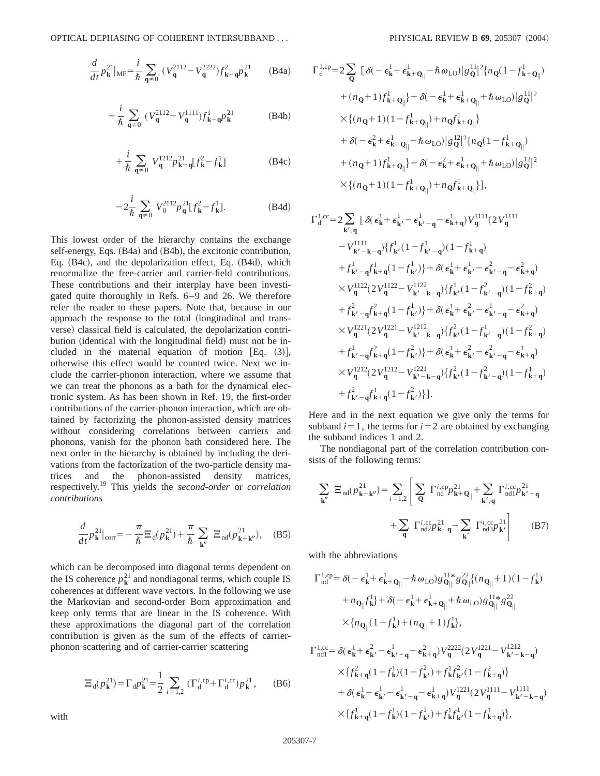$$
\frac{d}{dt}p_{\mathbf{k}}^{21}|_{\text{MF}} = \frac{i}{\hbar} \sum_{\mathbf{q} \neq 0} (V_{\mathbf{q}}^{2112} - V_{\mathbf{q}}^{2222}) f_{\mathbf{k} - \mathbf{q}}^2 p_{\mathbf{k}}^{21}
$$
 (B4a)

$$
-\frac{i}{\hbar} \sum_{\mathbf{q}\neq 0} (V_{\mathbf{q}}^{2112} - V_{\mathbf{q}}^{1111}) f_{\mathbf{k}-\mathbf{q}}^{1} p_{\mathbf{k}}^{21}
$$
 (B4b)

$$
+\frac{i}{\hbar} \sum_{\mathbf{q}\neq 0} V_{\mathbf{q}}^{1212} p_{\mathbf{k}-\mathbf{q}}^2 [f_{\mathbf{k}}^2 - f_{\mathbf{k}}^1] \tag{B4c}
$$

$$
-2\frac{i}{\hbar} \sum_{\mathbf{q}\neq 0} V_0^{2112} p_{\mathbf{q}}^{21} [f_{\mathbf{k}}^2 - f_{\mathbf{k}}^1].
$$
 (B4d)

This lowest order of the hierarchy contains the exchange self-energy, Eqs.  $(B4a)$  and  $(B4b)$ , the excitonic contribution, Eq.  $(B4c)$ , and the depolarization effect, Eq.  $(B4d)$ , which renormalize the free-carrier and carrier-field contributions. These contributions and their interplay have been investigated quite thoroughly in Refs. 6–9 and 26. We therefore refer the reader to these papers. Note that, because in our approach the response to the total (longitudinal and transverse) classical field is calculated, the depolarization contribution (identical with the longitudinal field) must not be included in the material equation of motion  $[Eq. (3)],$ otherwise this effect would be counted twice. Next we include the carrier-phonon interaction, where we assume that we can treat the phonons as a bath for the dynamical electronic system. As has been shown in Ref. 19, the first-order contributions of the carrier-phonon interaction, which are obtained by factorizing the phonon-assisted density matrices without considering correlations between carriers and phonons, vanish for the phonon bath considered here. The next order in the hierarchy is obtained by including the derivations from the factorization of the two-particle density matrices and the phonon-assisted density matrices, respectively.19 This yields the *second-order* or *correlation contributions*

$$
\frac{d}{dt}p_{\mathbf{k}}^{21}|_{\text{corr}} = -\frac{\pi}{\hbar} \Xi_{\text{d}}(p_{\mathbf{k}}^{21}) + \frac{\pi}{\hbar} \sum_{\mathbf{k}''} \Xi_{\text{nd}}(p_{\mathbf{k}+\mathbf{k}''}^{21}), \quad (B5)
$$

which can be decomposed into diagonal terms dependent on the IS coherence  $p_k^{21}$  and nondiagonal terms, which couple IS coherences at different wave vectors. In the following we use the Markovian and second-order Born approximation and keep only terms that are linear in the IS coherence. With these approximations the diagonal part of the correlation contribution is given as the sum of the effects of carrierphonon scattering and of carrier-carrier scattering

$$
\Xi_{d}(p_{\mathbf{k}}^{2l}) = \Gamma_{d} p_{\mathbf{k}}^{2l} = \frac{1}{2} \sum_{i=1,2} (\Gamma_{d}^{i,\text{cp}} + \Gamma_{d}^{i,\text{cc}}) p_{\mathbf{k}}^{2l}, \quad (B6)
$$

$$
\begin{split} \Gamma_{\rm d}^{\rm 1, cp} & = 2 \sum_{\mathbf{Q}} \big[ \delta(-\epsilon_{\mathbf{k}}^1 + \epsilon_{\mathbf{k}+\mathbf{Q}_{||}}^1 - \hbar \, \omega_{\rm LO}) |g_{\mathbf{Q}}^{11}|^2 \{n_{\mathbf{Q}} (1-f_{\mathbf{k}+\mathbf{Q}_{||}}^1) \\ & \quad + (n_{\mathbf{Q}}+1) f_{\mathbf{k}+\mathbf{Q}_{||}}^1 \} + \delta(-\epsilon_{\mathbf{k}}^1 + \epsilon_{\mathbf{k}+\mathbf{Q}_{||}}^1 + \hbar \, \omega_{\rm LO}) |g_{\mathbf{Q}}^{11}|^2 \\ & \quad \times \{ (n_{\mathbf{Q}}+1)(1-f_{\mathbf{k}+\mathbf{Q}_{||}}^1) + n_{\mathbf{Q}} f_{\mathbf{k}+\mathbf{Q}_{||}}^1 \} \\ & \quad + \delta(-\epsilon_{\mathbf{k}}^2 + \epsilon_{\mathbf{k}+\mathbf{Q}_{||}}^1 - \hbar \, \omega_{\rm LO}) |g_{\mathbf{Q}}^{12}|^2 \{n_{\mathbf{Q}} (1-f_{\mathbf{k}+\mathbf{Q}_{||}}^1) \\ & \quad + (n_{\mathbf{Q}}+1) f_{\mathbf{k}+\mathbf{Q}_{||}}^1 \} + \delta(-\epsilon_{\mathbf{k}}^2 + \epsilon_{\mathbf{k}+\mathbf{Q}_{||}}^1 + \hbar \, \omega_{\rm LO}) |g_{\mathbf{Q}}^{12}|^2 \\ & \quad \times \{ (n_{\mathbf{Q}}+1)(1-f_{\mathbf{k}+\mathbf{Q}_{||}}^1) + n_{\mathbf{Q}} f_{\mathbf{k}+\mathbf{Q}_{||}}^1 \} ], \end{split}
$$

$$
\Gamma_{d}^{1,cc} = 2 \sum_{\mathbf{k}',\mathbf{q}} \left[ \delta(\epsilon_{\mathbf{k}}^{1} + \epsilon_{\mathbf{k}'}^{1} - \epsilon_{\mathbf{k}'-\mathbf{q}}^{1} - \epsilon_{\mathbf{k}+\mathbf{q}}^{1}) V_{\mathbf{q}}^{1111} (2 V_{\mathbf{q}}^{1111} - V_{\mathbf{k}'-\mathbf{k}-\mathbf{q}}^{1111} ) \right] \n- V_{\mathbf{k}'-\mathbf{k}-\mathbf{q}}^{1111} \left\{ f_{\mathbf{k}'}^{1} (1 - f_{\mathbf{k}'-\mathbf{q}}^{1}) (1 - f_{\mathbf{k}+\mathbf{q}}^{1}) + f_{\mathbf{k}'-\mathbf{q}}^{1} f_{\mathbf{k}+\mathbf{q}}^{1} (1 - f_{\mathbf{k}'}^{1}) \right\} + \delta(\epsilon_{\mathbf{k}}^{1} + \epsilon_{\mathbf{k}'}^{1} - \epsilon_{\mathbf{k}'-\mathbf{q}}^{2} - \epsilon_{\mathbf{k}+\mathbf{q}}^{2}) \n\times V_{\mathbf{q}}^{1122} (2 V_{\mathbf{q}}^{1122} - V_{\mathbf{k}'-\mathbf{k}-\mathbf{q}}^{1122} ) \left\{ f_{\mathbf{k}'}^{1} (1 - f_{\mathbf{k}'-\mathbf{q}}^{2}) (1 - f_{\mathbf{k}+\mathbf{q}}^{2}) + f_{\mathbf{k}'-\mathbf{q}}^{2} f_{\mathbf{k}+\mathbf{q}}^{2} (1 - f_{\mathbf{k}'}^{1}) \right\} + \delta(\epsilon_{\mathbf{k}}^{1} + \epsilon_{\mathbf{k}'}^{2} - \epsilon_{\mathbf{k}'-\mathbf{q}}^{1} - \epsilon_{\mathbf{k}+\mathbf{q}}^{2}) \n\times V_{\mathbf{q}}^{1221} (2 V_{\mathbf{q}}^{1221} - V_{\mathbf{k}'-\mathbf{k}-\mathbf{q}}^{1212} ) \left\{ f_{\mathbf{k}'}^{2} (1 - f_{\mathbf{k}'-\mathbf{q}}^{1}) (1 - f_{\mathbf{k}+\mathbf{q}}^{2}) + f_{\mathbf{k}'-\mathbf{q}}^{1} f_{\mathbf{k}+\mathbf{q}}^{2} (1 - f_{\mathbf{k}'}^{2}) + f_{\mathbf{k}'-\mathbf{q}}^{1} f_{\mathbf
$$

Here and in the next equation we give only the terms for subband  $i=1$ , the terms for  $i=2$  are obtained by exchanging the subband indices 1 and 2.

The nondiagonal part of the correlation contribution consists of the following terms:

$$
\sum_{\mathbf{k}''} \Xi_{\text{nd}}(p_{\mathbf{k}+\mathbf{k}''}^{21}) = \sum_{i=1,2} \left[ \sum_{\mathbf{Q}} \Gamma_{\text{nd}}^{i,\text{cp}} p_{\mathbf{k}+\mathbf{Q}_{||}}^{21} + \sum_{\mathbf{k}',\mathbf{q}} \Gamma_{\text{nd1}}^{i,\text{cc}} p_{\mathbf{k}'-\mathbf{q}}^{21} + \sum_{\mathbf{q}} \Gamma_{\text{nd2}}^{i,\text{cc}} p_{\mathbf{k}+\mathbf{q}}^{21} - \sum_{\mathbf{k}'} \Gamma_{\text{nd3}}^{i,\text{cc}} p_{\mathbf{k}'}^{21} \right] \tag{B7}
$$

with the abbreviations

$$
\Gamma_{\text{nd}}^{\text{1,cp}} = \delta(-\epsilon_{\textbf{k}}^1 + \epsilon_{\textbf{k}+Q_{||}}^1 - \hbar \omega_{\text{LO}}) g_{Q_{||}}^{\text{11*}} g_{Q_{||}}^{\text{22}} \{ (n_{Q_{||}} + 1)(1 - f_{\textbf{k}}^1) + n_{Q_{||}} f_{\textbf{k}}^1 \} + \delta(-\epsilon_{\textbf{k}}^1 + \epsilon_{\textbf{k}+Q_{||}}^1 + \hbar \omega_{\text{LO}}) g_{Q_{||}}^{\text{11*}} g_{Q_{||}}^{\text{22}} \times \{ n_{Q_{||}} (1 - f_{\textbf{k}}^1) + (n_{Q_{||}} + 1) f_{\textbf{k}}^1 \},
$$

$$
\begin{aligned} \Gamma^{1,cc}_{\text{ndl}} = \delta & \left( \epsilon^1_{\mathbf{k}} + \epsilon^2_{\mathbf{k}'} - \epsilon^1_{\mathbf{k}' - \mathbf{q}} - \epsilon^2_{\mathbf{k} + \mathbf{q}} \right) V^{2222}_\mathbf{q} (2 V^{1221}_\mathbf{q} - V^{1212}_{\mathbf{k}' - \mathbf{k} - \mathbf{q}}) \\ & \times \{ f^2_{\mathbf{k} + \mathbf{q}} (1 - f^1_{\mathbf{k}}) (1 - f^2_{\mathbf{k}'}) + f^1_{\mathbf{k}} f^2_{\mathbf{k}'} (1 - f^2_{\mathbf{k} + \mathbf{q}}) \} \\ & + \delta (\epsilon^1_{\mathbf{k}} + \epsilon^1_{\mathbf{k}'} - \epsilon^1_{\mathbf{k}' - \mathbf{q}} - \epsilon^1_{\mathbf{k} + \mathbf{q}}) V^{1221}_\mathbf{q} (2 V^{1111}_\mathbf{q} - V^{1111}_\mathbf{k' - \mathbf{k} - \mathbf{q}}) \\ & \times \{ f^1_{\mathbf{k} + \mathbf{q}} (1 - f^1_{\mathbf{k}}) (1 - f^1_{\mathbf{k}'}) + f^1_{\mathbf{k}} f^1_{\mathbf{k}'} (1 - f^1_{\mathbf{k} + \mathbf{q}}) \}, \end{aligned}
$$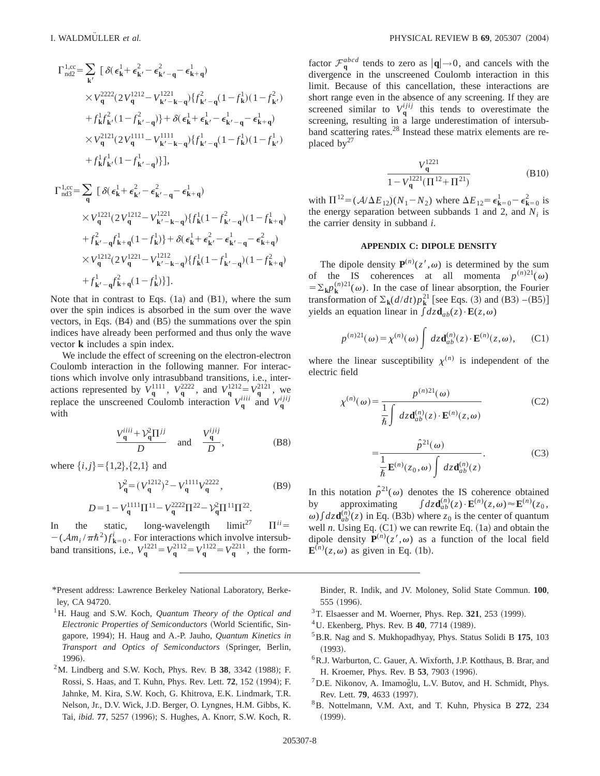$$
\begin{split} \Gamma_{\text{nd2}}^{1,\text{cc}} & = \sum_{\mathbf{k}'} \big[ \delta(\epsilon_{\mathbf{k}}^{1} + \epsilon_{\mathbf{k}'}^{2} - \epsilon_{\mathbf{k}'}^{2} - \epsilon_{\mathbf{k}+q}^{1}) \\ & \times V_{\mathbf{q}}^{2222} (2 V_{\mathbf{q}}^{1212} - V_{\mathbf{k}'}^{1221} - \epsilon_{\mathbf{k}+q}^{1}) \{ f_{\mathbf{k}'-q}^{2} (1 - f_{\mathbf{k}}^{1}) (1 - f_{\mathbf{k}'}^{2}) \\ & \quad + f_{\mathbf{k}}^{1} f_{\mathbf{k}'}^{2} (1 - f_{\mathbf{k}'-q}^{2}) \} + \delta(\epsilon_{\mathbf{k}}^{1} + \epsilon_{\mathbf{k}'}^{1} - \epsilon_{\mathbf{k}'-q}^{1} - \epsilon_{\mathbf{k}+q}^{1}) \\ & \times V_{\mathbf{q}}^{2121} (2 V_{\mathbf{q}}^{1111} - V_{\mathbf{k}'- \mathbf{k} - \mathbf{q}}^{1}) \{ f_{\mathbf{k}'-q}^{1} (1 - f_{\mathbf{k}}^{1}) (1 - f_{\mathbf{k}'}^{1}) \\ & \quad + f_{\mathbf{k}}^{1} f_{\mathbf{k}'}^{1} (1 - f_{\mathbf{k}'-q}^{1}) \} \big], \\ \Gamma_{\text{nd3}}^{1,\text{cc}} & = \sum_{\mathbf{q}} \big[ \delta(\epsilon_{\mathbf{k}}^{1} + \epsilon_{\mathbf{k}'}^{2} - \epsilon_{\mathbf{k}'-q}^{2} - \epsilon_{\mathbf{k}+q}^{1}) \\ & \times V_{\mathbf{q}}^{1221} (2 V_{\mathbf{q}}^{1212} - V_{\mathbf{k}'- \mathbf{k} - \mathbf{q}}^{1221}) \{ f_{\mathbf{k}}^{1} (1 - f_{\mathbf{k}'-q}^{2}) (1 - f_{\mathbf{k}+q}^{1}) \\ & \quad + f_{\mathbf{k}'}^{2} - g f_{\mathbf{k}+q}^{1} (1 - f_{\mathbf{k}}^{1}) \} + \delta(\epsilon_{\mathbf{k}}^{1} + \epsilon_{\mathbf{k}'}^{2} - \epsilon_{\mathbf{k}'-q}^{1} - \epsilon_{\mathbf{k}+q}^{2}) \end{split}
$$

$$
\times V_{\mathbf{q}}^{1212}(2V_{\mathbf{q}}^{1221} - V_{\mathbf{k}'-\mathbf{k}-\mathbf{q}}^{1212})\{f_{\mathbf{k}}^1(1 - f_{\mathbf{k}'-\mathbf{q}}^1)(1 - f_{\mathbf{k}+\mathbf{q}}^2) + f_{\mathbf{k}'-\mathbf{q}}^1f_{\mathbf{k}+\mathbf{q}}^2(1 - f_{\mathbf{k}}^1)\}.
$$

Note that in contrast to Eqs.  $(1a)$  and  $(B1)$ , where the sum over the spin indices is absorbed in the sum over the wave vectors, in Eqs.  $(B4)$  and  $(B5)$  the summations over the spin indices have already been performed and thus only the wave vector **k** includes a spin index.

We include the effect of screening on the electron-electron Coulomb interaction in the following manner. For interactions which involve only intrasubband transitions, i.e., interactions represented by  $V_q^{1111}$ ,  $V_q^{2222}$ , and  $V_q^{1212} = V_q^{2121}$ , we replace the unscreened Coulomb interaction  $V_q^{iiii}$  and  $V_q^{ijij}$ with

$$
\frac{V_{\mathbf{q}}^{iii+} \mathcal{V}_{\mathbf{q}}^2 \Pi^{jj}}{D} \quad \text{and} \quad \frac{V_{\mathbf{q}}^{ijij}}{D}, \tag{B8}
$$

where  $\{i, j\} = \{1, 2\}, \{2, 1\}$  and

$$
\mathcal{V}_{\mathbf{q}}^2 = (V_{\mathbf{q}}^{1212})^2 - V_{\mathbf{q}}^{1111} V_{\mathbf{q}}^{2222},\tag{B9}
$$

$$
D = 1 - V_{\mathbf{q}}^{1111} \Pi^{11} - V_{\mathbf{q}}^{2222} \Pi^{22} - V_{\mathbf{q}}^2 \Pi^{11} \Pi^{22}.
$$

In the static, long-wavelength  $\text{limit}^{27} \quad \Pi^{ii} =$  $-(\mathcal{A}m_i/\pi\hbar^2)f_{\mathbf{k}=0}^i$ . For interactions which involve intersubband transitions, i.e.,  $V_q^{1221} = V_q^{2112} = V_q^{1122} = V_q^{2211}$ , the form-

\*Present address: Lawrence Berkeley National Laboratory, Berkeley, CA 94720.

- 1H. Haug and S.W. Koch, *Quantum Theory of the Optical and Electronic Properties of Semiconductors* ~World Scientific, Singapore, 1994); H. Haug and A.-P. Jauho, *Quantum Kinetics in Transport and Optics of Semiconductors* ~Springer, Berlin, 1996).
- $^{2}$ M. Lindberg and S.W. Koch, Phys. Rev. B 38, 3342 (1988); F. Rossi, S. Haas, and T. Kuhn, Phys. Rev. Lett. **72**, 152 (1994); F. Jahnke, M. Kira, S.W. Koch, G. Khitrova, E.K. Lindmark, T.R. Nelson, Jr., D.V. Wick, J.D. Berger, O. Lyngnes, H.M. Gibbs, K. Tai, *ibid.* 77, 5257 (1996); S. Hughes, A. Knorr, S.W. Koch, R.

factor  $\mathcal{F}_{\mathbf{q}}^{abcd}$  tends to zero as  $|\mathbf{q}| \rightarrow 0$ , and cancels with the divergence in the unscreened Coulomb interaction in this limit. Because of this cancellation, these interactions are short range even in the absence of any screening. If they are screened similar to  $V_q^{ijij}$  this tends to overestimate the screening, resulting in a large underestimation of intersubband scattering rates.28 Instead these matrix elements are replaced by $27$ 

$$
\frac{V_{\mathbf{q}}^{1221}}{1 - V_{\mathbf{q}}^{1221}(\Pi^{12} + \Pi^{21})}
$$
(B10)

with  $\Pi^{12} = (\mathcal{A}/\Delta E_{12})(N_1 - N_2)$  where  $\Delta E_{12} = \epsilon_{\mathbf{k}=0}^1 - \epsilon_{\mathbf{k}=0}^2$  is the energy separation between subbands 1 and 2, and *Ni* is the carrier density in subband *i*.

# **APPENDIX C: DIPOLE DENSITY**

The dipole density  $P^{(n)}(z', \omega)$  is determined by the sum of the IS coherences at all momenta  $p^{(n)21}(\omega)$  $=\sum_{k} p_k^{(n)}(u)$ . In the case of linear absorption, the Fourier transformation of  $\Sigma_{\mathbf{k}}(d/dt)p_{\mathbf{k}}^{21}$  [see Eqs. (3) and (B3) –(B5)] yields an equation linear in  $\int dz \mathbf{d}_{ab}(z) \cdot \mathbf{E}(z,\omega)$ 

$$
p^{(n)21}(\omega) = \chi^{(n)}(\omega) \int dz \mathbf{d}_{ab}^{(n)}(z) \cdot \mathbf{E}^{(n)}(z,\omega), \qquad (C1)
$$

where the linear susceptibility  $\chi^{(n)}$  is independent of the electric field

$$
\chi^{(n)}(\omega) = \frac{p^{(n)21}(\omega)}{\frac{1}{\hbar} \int dz \mathbf{d}_{ab}^{(n)}(z) \cdot \mathbf{E}^{(n)}(z, \omega)}
$$
(C2)

$$
=\frac{\hat{p}^{21}(\omega)}{\frac{1}{\hbar}\mathbf{E}^{(n)}(z_0,\omega)\int dz\mathbf{d}_{ab}^{(n)}(z)}.
$$
 (C3)

In this notation  $\hat{p}^{21}(\omega)$  denotes the IS coherence obtained by approximating \**dz***d***ab*  $\mathbf{E}^{(n)}(z) \cdot \mathbf{E}^{(n)}(z,\omega) \approx \mathbf{E}^{(n)}(z_0,$  $\omega$ )  $\int dz \mathbf{d}_{ab}^{(n)}(z)$  in Eq. (B3b) where  $z_0$  is the center of quantum well *n*. Using Eq.  $(C1)$  we can rewrite Eq.  $(1a)$  and obtain the dipole density  $\mathbf{P}^{(n)}(z',\omega)$  as a function of the local field  $\mathbf{E}^{(n)}(z,\omega)$  as given in Eq. (1b).

Binder, R. Indik, and JV. Moloney, Solid State Commun. **100**, 555 (1996).

- $3$ T. Elsaesser and M. Woerner, Phys. Rep. 321, 253 (1999).
- <sup>4</sup>U. Ekenberg, Phys. Rev. B **40**, 7714 (1989).
- 5B.R. Nag and S. Mukhopadhyay, Phys. Status Solidi B **175**, 103  $(1993).$
- 6R.J. Warburton, C. Gauer, A. Wixforth, J.P. Kotthaus, B. Brar, and H. Kroemer, Phys. Rev. B 53, 7903 (1996).
- $<sup>7</sup>$ D.E. Nikonov, A. Imamoğlu, L.V. Butov, and H. Schmidt, Phys.</sup> Rev. Lett. **79**, 4633 (1997).
- 8B. Nottelmann, V.M. Axt, and T. Kuhn, Physica B **272**, 234  $(1999).$